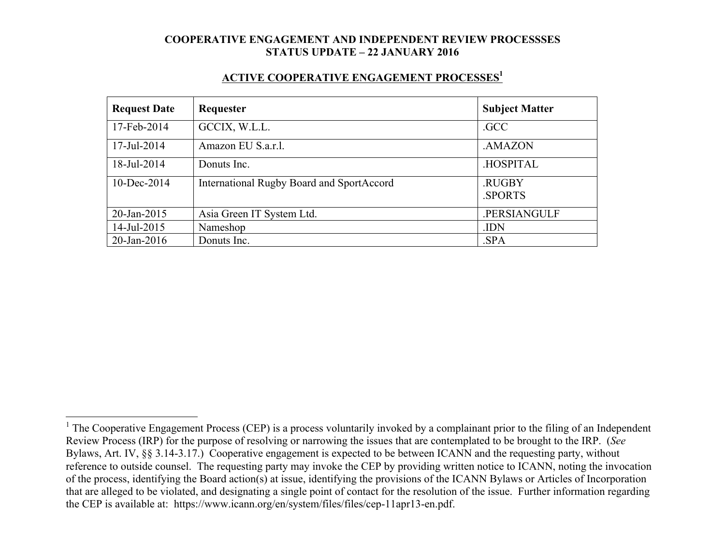#### **ACTIVE COOPERATIVE ENGAGEMENT PROCESSES1**

| <b>Request Date</b> | Requester                                 | <b>Subject Matter</b> |
|---------------------|-------------------------------------------|-----------------------|
| 17-Feb-2014         | GCCIX, W.L.L.                             | .GCC                  |
| 17-Jul-2014         | Amazon EU S.a.r.l.                        | .AMAZON               |
| 18-Jul-2014         | Donuts Inc.                               | .HOSPITAL             |
| $10$ -Dec-2014      | International Rugby Board and SportAccord | .RUGBY<br>.SPORTS     |
| 20-Jan-2015         | Asia Green IT System Ltd.                 | .PERSIANGULF          |
| 14-Jul-2015         | Nameshop                                  | .IDN                  |
| $20$ -Jan-2016      | Donuts Inc.                               | .SPA                  |

<sup>&</sup>lt;sup>1</sup> The Cooperative Engagement Process (CEP) is a process voluntarily invoked by a complainant prior to the filing of an Independent Review Process (IRP) for the purpose of resolving or narrowing the issues that are contemplated to be brought to the IRP. (*See* Bylaws, Art. IV, §§ 3.14-3.17.) Cooperative engagement is expected to be between ICANN and the requesting party, without reference to outside counsel. The requesting party may invoke the CEP by providing written notice to ICANN, noting the invocation of the process, identifying the Board action(s) at issue, identifying the provisions of the ICANN Bylaws or Articles of Incorporation that are alleged to be violated, and designating a single point of contact for the resolution of the issue. Further information regarding the CEP is available at: https://www.icann.org/en/system/files/files/cep-11apr13-en.pdf.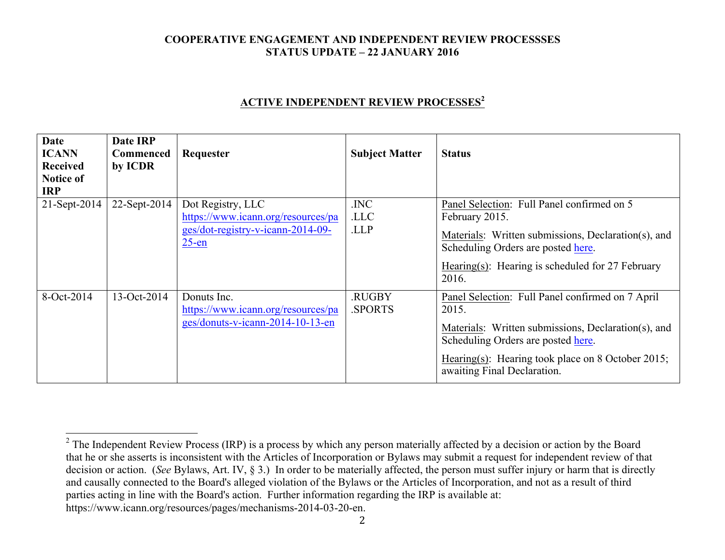# **ACTIVE INDEPENDENT REVIEW PROCESSES<sup>2</sup>**

| Date<br><b>ICANN</b><br><b>Received</b><br><b>Notice of</b><br><b>IRP</b> | Date IRP<br><b>Commenced</b><br>by ICDR | Requester                                                                                                | <b>Subject Matter</b>   | <b>Status</b>                                                                                                                                                                                                                              |
|---------------------------------------------------------------------------|-----------------------------------------|----------------------------------------------------------------------------------------------------------|-------------------------|--------------------------------------------------------------------------------------------------------------------------------------------------------------------------------------------------------------------------------------------|
| 21-Sept-2014                                                              | 22-Sept-2014                            | Dot Registry, LLC<br>https://www.icann.org/resources/pa<br>ges/dot-registry-v-icann-2014-09-<br>$25$ -en | .INC<br>.LLC<br>.LLP    | Panel Selection: Full Panel confirmed on 5<br>February 2015.<br>Materials: Written submissions, Declaration(s), and<br>Scheduling Orders are posted here.<br>Hearing(s): Hearing is scheduled for $27$ February<br>2016.                   |
| 8-Oct-2014                                                                | 13-Oct-2014                             | Donuts Inc.<br>https://www.icann.org/resources/pa<br>ges/donuts-v-icann-2014-10-13-en                    | <b>RUGBY</b><br>.SPORTS | Panel Selection: Full Panel confirmed on 7 April<br>2015.<br>Materials: Written submissions, Declaration(s), and<br>Scheduling Orders are posted here.<br>Hearing(s): Hearing took place on 8 October 2015;<br>awaiting Final Declaration. |

2

 $2$  The Independent Review Process (IRP) is a process by which any person materially affected by a decision or action by the Board that he or she asserts is inconsistent with the Articles of Incorporation or Bylaws may submit a request for independent review of that decision or action. (*See* Bylaws, Art. IV, § 3.) In order to be materially affected, the person must suffer injury or harm that is directly and causally connected to the Board's alleged violation of the Bylaws or the Articles of Incorporation, and not as a result of third parties acting in line with the Board's action. Further information regarding the IRP is available at: https://www.icann.org/resources/pages/mechanisms-2014-03-20-en.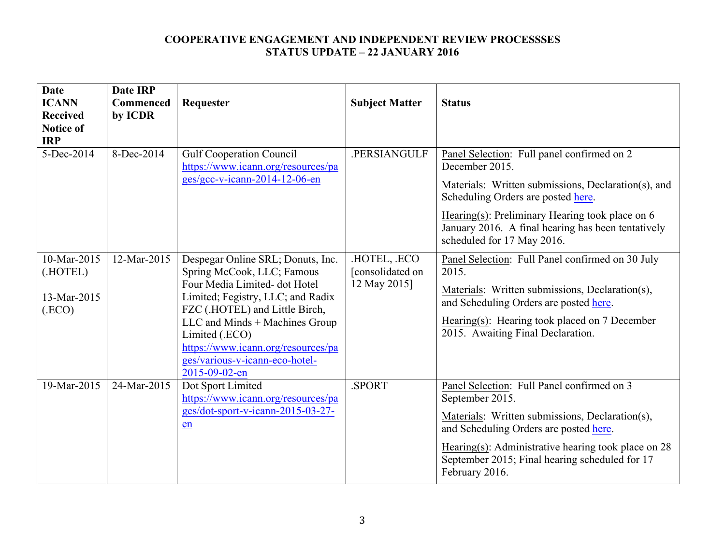| <b>Date</b><br><b>ICANN</b><br><b>Received</b><br><b>Notice of</b><br><b>IRP</b> | <b>Date IRP</b><br><b>Commenced</b><br>by ICDR | Requester                                                                                                                                                                                                                                                                                                            | <b>Subject Matter</b>                          | <b>Status</b>                                                                                                                                                                                                                                                                                      |
|----------------------------------------------------------------------------------|------------------------------------------------|----------------------------------------------------------------------------------------------------------------------------------------------------------------------------------------------------------------------------------------------------------------------------------------------------------------------|------------------------------------------------|----------------------------------------------------------------------------------------------------------------------------------------------------------------------------------------------------------------------------------------------------------------------------------------------------|
| 5-Dec-2014                                                                       | 8-Dec-2014                                     | <b>Gulf Cooperation Council</b><br>https://www.icann.org/resources/pa<br>ges/gcc-v-icann-2014-12-06-en                                                                                                                                                                                                               | .PERSIANGULF                                   | Panel Selection: Full panel confirmed on 2<br>December 2015.<br>Materials: Written submissions, Declaration(s), and<br>Scheduling Orders are posted here.<br>Hearing(s): Preliminary Hearing took place on $6$<br>January 2016. A final hearing has been tentatively<br>scheduled for 17 May 2016. |
| 10-Mar-2015<br>(.HOTEL)<br>13-Mar-2015<br>(ECO)                                  | 12-Mar-2015                                    | Despegar Online SRL; Donuts, Inc.<br>Spring McCook, LLC; Famous<br>Four Media Limited- dot Hotel<br>Limited; Fegistry, LLC; and Radix<br>FZC (.HOTEL) and Little Birch,<br>LLC and Minds + Machines Group<br>Limited (.ECO)<br>https://www.icann.org/resources/pa<br>ges/various-v-icann-eco-hotel-<br>2015-09-02-en | HOTEL, ECO<br>[consolidated on<br>12 May 2015] | Panel Selection: Full Panel confirmed on 30 July<br>2015.<br>Materials: Written submissions, Declaration(s),<br>and Scheduling Orders are posted here.<br>Hearing(s): Hearing took placed on 7 December<br>2015. Awaiting Final Declaration.                                                       |
| 19-Mar-2015                                                                      | 24-Mar-2015                                    | Dot Sport Limited<br>https://www.icann.org/resources/pa<br>ges/dot-sport-v-icann-2015-03-27-<br>en                                                                                                                                                                                                                   | SPORT.                                         | Panel Selection: Full Panel confirmed on 3<br>September 2015.<br>Materials: Written submissions, Declaration(s),<br>and Scheduling Orders are posted here.<br>Hearing(s): Administrative hearing took place on 28<br>September 2015; Final hearing scheduled for 17<br>February 2016.              |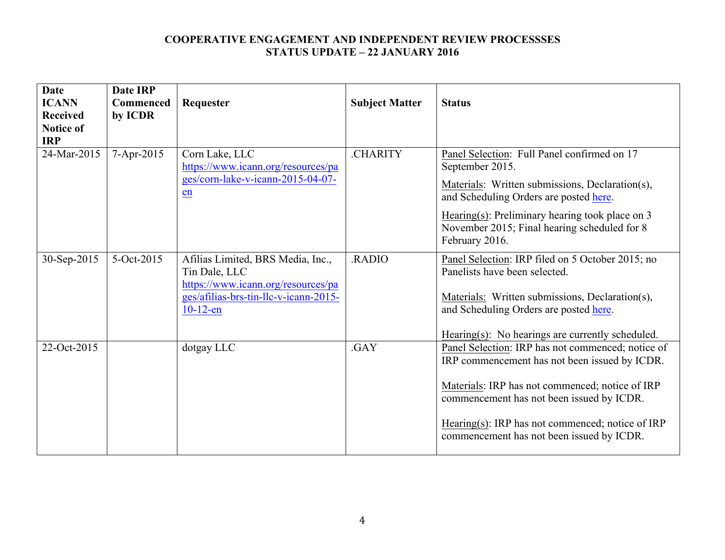| <b>Date</b><br><b>ICANN</b><br><b>Received</b><br>Notice of<br><b>IRP</b> | <b>Date IRP</b><br><b>Commenced</b><br>by ICDR | Requester                                                                                                                                        | <b>Subject Matter</b> | <b>Status</b>                                                                                                                                                                                                                                                                                       |
|---------------------------------------------------------------------------|------------------------------------------------|--------------------------------------------------------------------------------------------------------------------------------------------------|-----------------------|-----------------------------------------------------------------------------------------------------------------------------------------------------------------------------------------------------------------------------------------------------------------------------------------------------|
| 24-Mar-2015                                                               | 7-Apr-2015                                     | Corn Lake, LLC<br>https://www.icann.org/resources/pa<br>ges/corn-lake-v-icann-2015-04-07-<br>en                                                  | <b>CHARITY</b>        | Panel Selection: Full Panel confirmed on 17<br>September 2015.<br>Materials: Written submissions, Declaration(s),<br>and Scheduling Orders are posted here.<br>Hearing(s): Preliminary hearing took place on $3$<br>November 2015; Final hearing scheduled for 8<br>February 2016.                  |
| 30-Sep-2015                                                               | 5-Oct-2015                                     | Afilias Limited, BRS Media, Inc.,<br>Tin Dale, LLC<br>https://www.icann.org/resources/pa<br>ges/afilias-brs-tin-llc-v-icann-2015-<br>$10-12$ -en | RADIO.                | Panel Selection: IRP filed on 5 October 2015; no<br>Panelists have been selected.<br>Materials: Written submissions, Declaration(s),<br>and Scheduling Orders are posted here.<br>$Hearing(s)$ : No hearings are currently scheduled.                                                               |
| 22-Oct-2015                                                               |                                                | dotgay LLC                                                                                                                                       | .GAY                  | Panel Selection: IRP has not commenced; notice of<br>IRP commencement has not been issued by ICDR.<br>Materials: IRP has not commenced; notice of IRP<br>commencement has not been issued by ICDR.<br>Hearing(s): IRP has not commenced; notice of IRP<br>commencement has not been issued by ICDR. |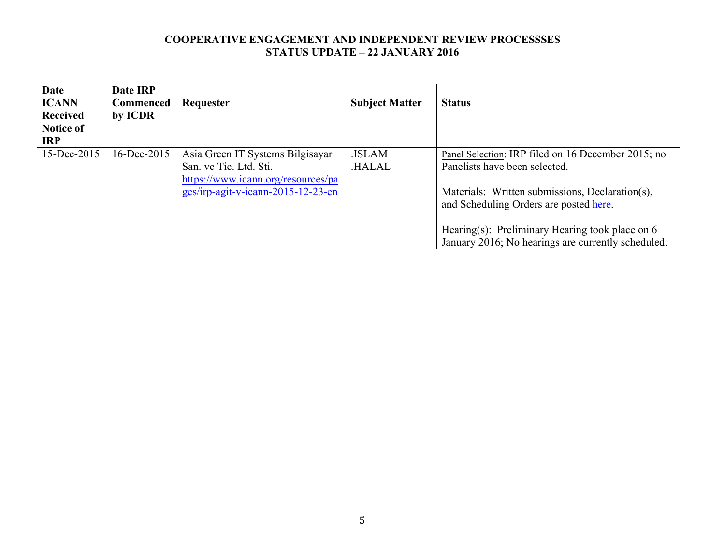| <b>Date</b><br><b>ICANN</b><br>Received<br><b>Notice of</b><br><b>IRP</b> | Date IRP<br><b>Commenced</b><br>by ICDR | Requester                                                                                                                              | <b>Subject Matter</b>        | <b>Status</b>                                                                                                                                                                    |
|---------------------------------------------------------------------------|-----------------------------------------|----------------------------------------------------------------------------------------------------------------------------------------|------------------------------|----------------------------------------------------------------------------------------------------------------------------------------------------------------------------------|
| 15-Dec-2015                                                               | 16-Dec-2015                             | Asia Green IT Systems Bilgisayar<br>San. ve Tic. Ltd. Sti.<br>https://www.icann.org/resources/pa<br>ges/irp-agit-v-icann-2015-12-23-en | <b>ISLAM</b><br><b>HALAL</b> | Panel Selection: IRP filed on 16 December 2015; no<br>Panelists have been selected.<br>Materials: Written submissions, Declaration(s),<br>and Scheduling Orders are posted here. |
|                                                                           |                                         |                                                                                                                                        |                              | Hearing(s): Preliminary Hearing took place on $6$<br>January 2016; No hearings are currently scheduled.                                                                          |